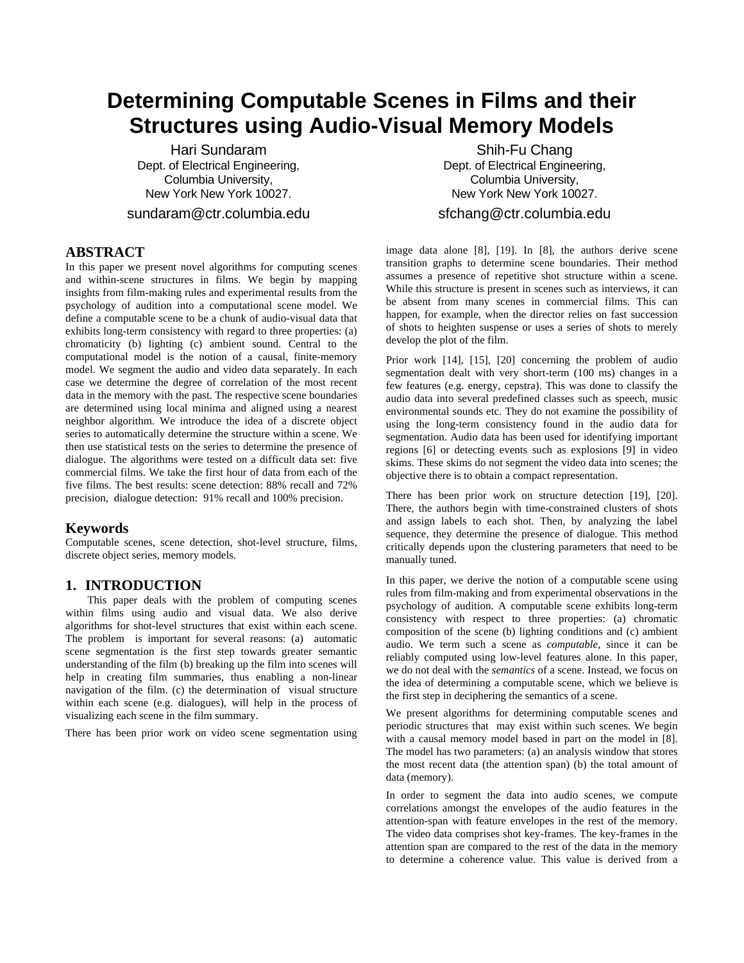# **Determining Computable Scenes in Films and their Structures using Audio-Visual Memory Models**

Hari Sundaram Dept. of Electrical Engineering, Columbia University, New York New York 10027.

sundaram@ctr.columbia.edu

# **ABSTRACT**

In this paper we present novel algorithms for computing scenes and within-scene structures in films. We begin by mapping insights from film-making rules and experimental results from the psychology of audition into a computational scene model. We define a computable scene to be a chunk of audio-visual data that exhibits long-term consistency with regard to three properties: (a) chromaticity (b) lighting (c) ambient sound. Central to the computational model is the notion of a causal, finite-memory model. We segment the audio and video data separately. In each case we determine the degree of correlation of the most recent data in the memory with the past. The respective scene boundaries are determined using local minima and aligned using a nearest neighbor algorithm. We introduce the idea of a discrete object series to automatically determine the structure within a scene. We then use statistical tests on the series to determine the presence of dialogue. The algorithms were tested on a difficult data set: five commercial films. We take the first hour of data from each of the five films. The best results: scene detection: 88% recall and 72% precision, dialogue detection: 91% recall and 100% precision.

# **Keywords**

Computable scenes, scene detection, shot-level structure, films, discrete object series, memory models.

# **1. INTRODUCTION**

This paper deals with the problem of computing scenes within films using audio and visual data. We also derive algorithms for shot-level structures that exist within each scene. The problem is important for several reasons: (a) automatic scene segmentation is the first step towards greater semantic understanding of the film (b) breaking up the film into scenes will help in creating film summaries, thus enabling a non-linear navigation of the film. (c) the determination of visual structure within each scene (e.g. dialogues), will help in the process of visualizing each scene in the film summary.

There has been prior work on video scene segmentation using

Shih-Fu Chang Dept. of Electrical Engineering, Columbia University, New York New York 10027. sfchang@ctr.columbia.edu

image data alone [8], [19]. In [8], the authors derive scene transition graphs to determine scene boundaries. Their method assumes a presence of repetitive shot structure within a scene. While this structure is present in scenes such as interviews, it can be absent from many scenes in commercial films. This can happen, for example, when the director relies on fast succession of shots to heighten suspense or uses a series of shots to merely develop the plot of the film.

Prior work [14], [15], [20] concerning the problem of audio segmentation dealt with very short-term (100 ms) changes in a few features (e.g. energy, cepstra). This was done to classify the audio data into several predefined classes such as speech, music environmental sounds etc. They do not examine the possibility of using the long-term consistency found in the audio data for segmentation. Audio data has been used for identifying important regions [6] or detecting events such as explosions [9] in video skims. These skims do not segment the video data into scenes; the objective there is to obtain a compact representation.

There has been prior work on structure detection [19], [20]. There, the authors begin with time-constrained clusters of shots and assign labels to each shot. Then, by analyzing the label sequence, they determine the presence of dialogue. This method critically depends upon the clustering parameters that need to be manually tuned.

In this paper, we derive the notion of a computable scene using rules from film-making and from experimental observations in the psychology of audition. A computable scene exhibits long-term consistency with respect to three properties: (a) chromatic composition of the scene (b) lighting conditions and (c) ambient audio. We term such a scene as *computable*, since it can be reliably computed using low-level features alone. In this paper, we do not deal with the *semantics* of a scene. Instead, we focus on the idea of determining a computable scene, which we believe is the first step in deciphering the semantics of a scene.

We present algorithms for determining computable scenes and periodic structures that may exist within such scenes. We begin with a causal memory model based in part on the model in [8]. The model has two parameters: (a) an analysis window that stores the most recent data (the attention span) (b) the total amount of data (memory).

In order to segment the data into audio scenes, we compute correlations amongst the envelopes of the audio features in the attention-span with feature envelopes in the rest of the memory. The video data comprises shot key-frames. The key-frames in the attention span are compared to the rest of the data in the memory to determine a coherence value. This value is derived from a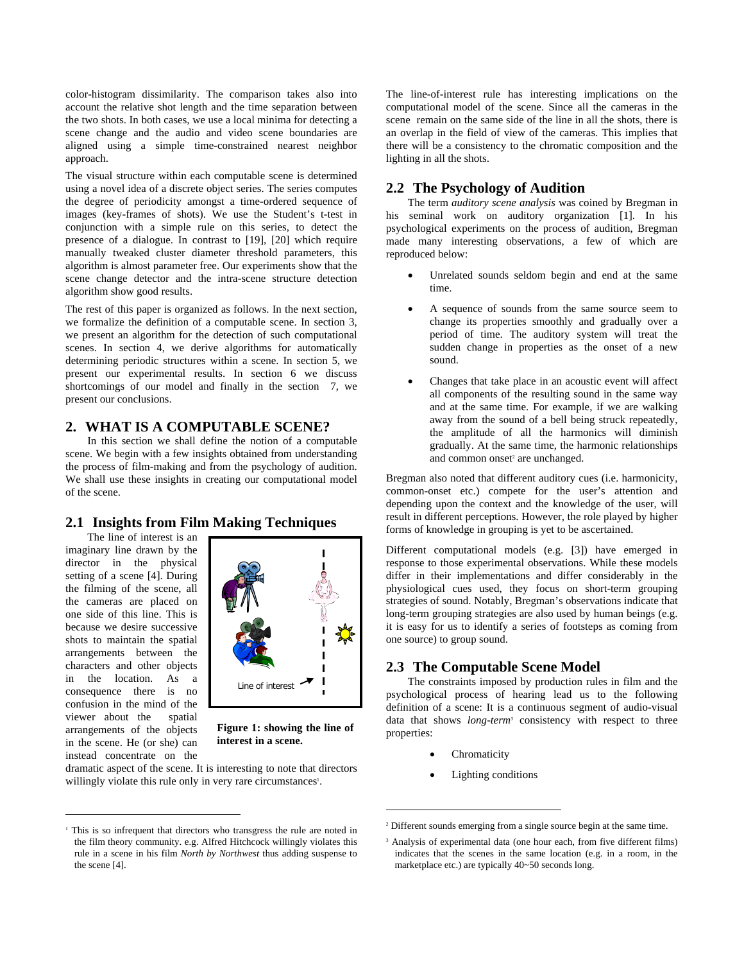color-histogram dissimilarity. The comparison takes also into account the relative shot length and the time separation between the two shots. In both cases, we use a local minima for detecting a scene change and the audio and video scene boundaries are aligned using a simple time-constrained nearest neighbor approach.

The visual structure within each computable scene is determined using a novel idea of a discrete object series. The series computes the degree of periodicity amongst a time-ordered sequence of images (key-frames of shots). We use the Student's t-test in conjunction with a simple rule on this series, to detect the presence of a dialogue. In contrast to [19], [20] which require manually tweaked cluster diameter threshold parameters, this algorithm is almost parameter free. Our experiments show that the scene change detector and the intra-scene structure detection algorithm show good results.

The rest of this paper is organized as follows. In the next section, we formalize the definition of a computable scene. In section 3, we present an algorithm for the detection of such computational scenes. In section 4, we derive algorithms for automatically determining periodic structures within a scene. In section 5, we present our experimental results. In section 6 we discuss shortcomings of our model and finally in the section 7, we present our conclusions.

### **2. WHAT IS A COMPUTABLE SCENE?**

In this section we shall define the notion of a computable scene. We begin with a few insights obtained from understanding the process of film-making and from the psychology of audition. We shall use these insights in creating our computational model of the scene.

# **2.1 Insights from Film Making Techniques**

The line of interest is an imaginary line drawn by the director in the physical setting of a scene [4]. During the filming of the scene, all the cameras are placed on one side of this line. This is because we desire successive shots to maintain the spatial arrangements between the characters and other objects in the location. As a consequence there is no confusion in the mind of the viewer about the spatial arrangements of the objects in the scene. He (or she) can instead concentrate on the

1



**Figure 1: showing the line of interest in a scene.** 

dramatic aspect of the scene. It is interesting to note that directors willingly violate this rule only in very rare circumstances<sup>1</sup>.

The line-of-interest rule has interesting implications on the computational model of the scene. Since all the cameras in the scene remain on the same side of the line in all the shots, there is an overlap in the field of view of the cameras. This implies that there will be a consistency to the chromatic composition and the lighting in all the shots.

# **2.2 The Psychology of Audition**

The term *auditory scene analysis* was coined by Bregman in his seminal work on auditory organization [1]. In his psychological experiments on the process of audition, Bregman made many interesting observations, a few of which are reproduced below:

- Unrelated sounds seldom begin and end at the same time.
- A sequence of sounds from the same source seem to change its properties smoothly and gradually over a period of time. The auditory system will treat the sudden change in properties as the onset of a new sound.
- Changes that take place in an acoustic event will affect all components of the resulting sound in the same way and at the same time. For example, if we are walking away from the sound of a bell being struck repeatedly, the amplitude of all the harmonics will diminish gradually. At the same time, the harmonic relationships and common onset<sup>2</sup> are unchanged.

Bregman also noted that different auditory cues (i.e. harmonicity, common-onset etc.) compete for the user's attention and depending upon the context and the knowledge of the user, will result in different perceptions. However, the role played by higher forms of knowledge in grouping is yet to be ascertained.

Different computational models (e.g. [3]) have emerged in response to those experimental observations. While these models differ in their implementations and differ considerably in the physiological cues used, they focus on short-term grouping strategies of sound. Notably, Bregman's observations indicate that long-term grouping strategies are also used by human beings (e.g. it is easy for us to identify a series of footsteps as coming from one source) to group sound.

# **2.3 The Computable Scene Model**

The constraints imposed by production rules in film and the psychological process of hearing lead us to the following definition of a scene: It is a continuous segment of audio-visual data that shows *long-term<sup>3</sup>* consistency with respect to three properties:

**Chromaticity** 

 $\overline{a}$ 

Lighting conditions

<sup>&</sup>lt;sup>1</sup> This is so infrequent that directors who transgress the rule are noted in the film theory community. e.g. Alfred Hitchcock willingly violates this rule in a scene in his film *North by Northwest* thus adding suspense to the scene [4].

<sup>&</sup>lt;sup>2</sup> Different sounds emerging from a single source begin at the same time.

<sup>&</sup>lt;sup>3</sup> Analysis of experimental data (one hour each, from five different films) indicates that the scenes in the same location (e.g. in a room, in the marketplace etc.) are typically 40~50 seconds long.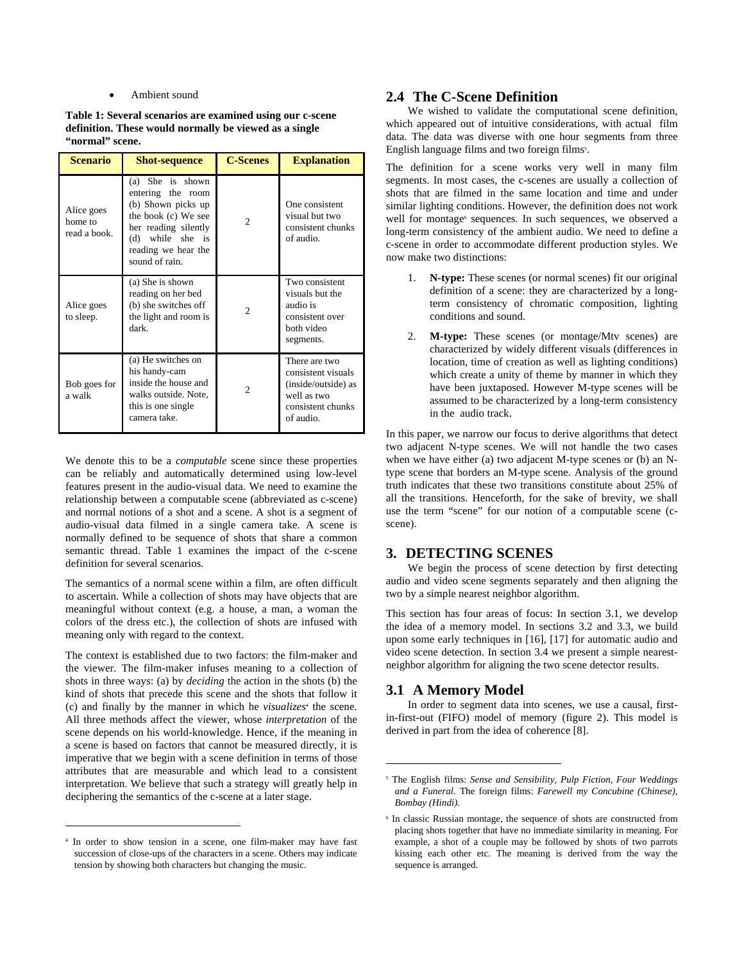Ambient sound

**Table 1: Several scenarios are examined using our c-scene definition. These would normally be viewed as a single "normal" scene.** 

| <b>Scenario</b>                       | <b>Shot-sequence</b>                                                                                                                                                       | <b>C-Scenes</b>             | <b>Explanation</b>                                                                                          |
|---------------------------------------|----------------------------------------------------------------------------------------------------------------------------------------------------------------------------|-----------------------------|-------------------------------------------------------------------------------------------------------------|
| Alice goes<br>home to<br>read a book. | (a) She is shown<br>entering the<br>room<br>(b) Shown picks up<br>the book (c) We see<br>her reading silently<br>(d) while she is<br>reading we hear the<br>sound of rain. | $\mathcal{D}_{\mathcal{A}}$ | One consistent<br>visual but two<br>consistent chunks<br>of audio.                                          |
| Alice goes<br>to sleep.               | (a) She is shown<br>reading on her bed<br>(b) she switches off<br>the light and room is<br>dark.                                                                           | $\mathcal{D}_{\mathcal{L}}$ | Two consistent<br>visuals but the<br>audio is<br>consistent over<br>both video<br>segments.                 |
| Bob goes for<br>a walk                | (a) He switches on<br>his handy-cam<br>inside the house and<br>walks outside. Note,<br>this is one single<br>camera take.                                                  | 2                           | There are two<br>consistent visuals<br>(inside/outside) as<br>well as two<br>consistent chunks<br>of audio. |

We denote this to be a *computable* scene since these properties can be reliably and automatically determined using low-level features present in the audio-visual data. We need to examine the relationship between a computable scene (abbreviated as c-scene) and normal notions of a shot and a scene. A shot is a segment of audio-visual data filmed in a single camera take. A scene is normally defined to be sequence of shots that share a common semantic thread. Table 1 examines the impact of the c-scene definition for several scenarios.

The semantics of a normal scene within a film, are often difficult to ascertain. While a collection of shots may have objects that are meaningful without context (e.g. a house, a man, a woman the colors of the dress etc.), the collection of shots are infused with meaning only with regard to the context.

The context is established due to two factors: the film-maker and the viewer. The film-maker infuses meaning to a collection of shots in three ways: (a) by *deciding* the action in the shots (b) the kind of shots that precede this scene and the shots that follow it (c) and finally by the manner in which he *visualizes<sup>4</sup>* the scene. All three methods affect the viewer, whose *interpretation* of the scene depends on his world-knowledge. Hence, if the meaning in a scene is based on factors that cannot be measured directly, it is imperative that we begin with a scene definition in terms of those attributes that are measurable and which lead to a consistent interpretation. We believe that such a strategy will greatly help in deciphering the semantics of the c-scene at a later stage.

1

# **2.4 The C-Scene Definition**

We wished to validate the computational scene definition, which appeared out of intuitive considerations, with actual film data. The data was diverse with one hour segments from three English language films and two foreign films<sup>5</sup>.

The definition for a scene works very well in many film segments. In most cases, the c-scenes are usually a collection of shots that are filmed in the same location and time and under similar lighting conditions. However, the definition does not work well for montage<sup>6</sup> sequences. In such sequences, we observed a long-term consistency of the ambient audio. We need to define a c-scene in order to accommodate different production styles. We now make two distinctions:

- 1. **N-type:** These scenes (or normal scenes) fit our original definition of a scene: they are characterized by a longterm consistency of chromatic composition, lighting conditions and sound.
- 2. **M-type:** These scenes (or montage/Mtv scenes) are characterized by widely different visuals (differences in location, time of creation as well as lighting conditions) which create a unity of theme by manner in which they have been juxtaposed. However M-type scenes will be assumed to be characterized by a long-term consistency in the audio track.

In this paper, we narrow our focus to derive algorithms that detect two adjacent N-type scenes. We will not handle the two cases when we have either (a) two adjacent M-type scenes or (b) an Ntype scene that borders an M-type scene. Analysis of the ground truth indicates that these two transitions constitute about 25% of all the transitions. Henceforth, for the sake of brevity, we shall use the term "scene" for our notion of a computable scene (cscene).

# **3. DETECTING SCENES**

We begin the process of scene detection by first detecting audio and video scene segments separately and then aligning the two by a simple nearest neighbor algorithm.

This section has four areas of focus: In section 3.1, we develop the idea of a memory model. In sections 3.2 and 3.3, we build upon some early techniques in [16], [17] for automatic audio and video scene detection. In section 3.4 we present a simple nearestneighbor algorithm for aligning the two scene detector results.

# **3.1 A Memory Model**

 $\overline{a}$ 

In order to segment data into scenes, we use a causal, firstin-first-out (FIFO) model of memory (figure 2). This model is derived in part from the idea of coherence [8].

<sup>4</sup> In order to show tension in a scene, one film-maker may have fast succession of close-ups of the characters in a scene. Others may indicate tension by showing both characters but changing the music.

<sup>5</sup> The English films: *Sense and Sensibility, Pulp Fiction, Four Weddings and a Funeral.* The foreign films: *Farewell my Concubine (Chinese), Bombay (Hindi).* 

<sup>6</sup> In classic Russian montage, the sequence of shots are constructed from placing shots together that have no immediate similarity in meaning. For example, a shot of a couple may be followed by shots of two parrots kissing each other etc. The meaning is derived from the way the sequence is arranged.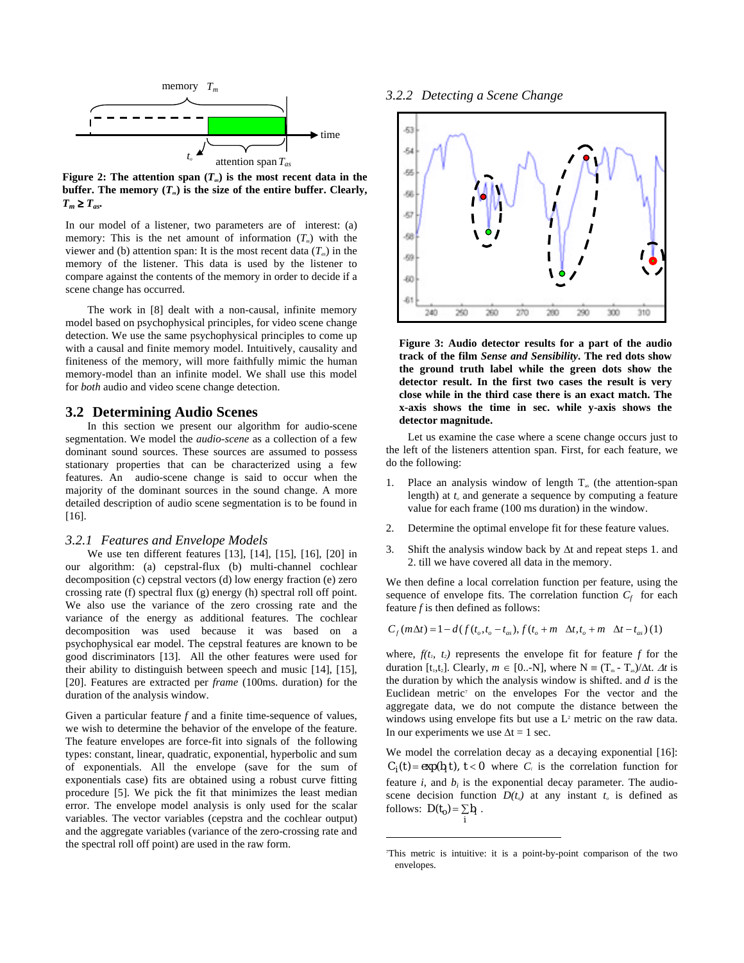

**Figure 2:** The attention span  $(T_a)$  is the most recent data in the buffer. The memory  $(T_m)$  is the size of the entire buffer. Clearly,  $T_m \geq T_{as}$ .

In our model of a listener, two parameters are of interest: (a) memory: This is the net amount of information  $(T<sub>m</sub>)$  with the viewer and (b) attention span: It is the most recent data  $(T_a)$  in the memory of the listener. This data is used by the listener to compare against the contents of the memory in order to decide if a scene change has occurred.

The work in [8] dealt with a non-causal, infinite memory model based on psychophysical principles, for video scene change detection. We use the same psychophysical principles to come up with a causal and finite memory model. Intuitively, causality and finiteness of the memory, will more faithfully mimic the human memory-model than an infinite model. We shall use this model for *both* audio and video scene change detection.

### **3.2 Determining Audio Scenes**

In this section we present our algorithm for audio-scene segmentation. We model the *audio-scene* as a collection of a few dominant sound sources. These sources are assumed to possess stationary properties that can be characterized using a few features. An audio-scene change is said to occur when the majority of the dominant sources in the sound change. A more detailed description of audio scene segmentation is to be found in [16].

### *3.2.1 Features and Envelope Models*

We use ten different features [13], [14], [15], [16], [20] in our algorithm: (a) cepstral-flux (b) multi-channel cochlear decomposition (c) cepstral vectors (d) low energy fraction (e) zero crossing rate (f) spectral flux (g) energy (h) spectral roll off point. We also use the variance of the zero crossing rate and the variance of the energy as additional features. The cochlear decomposition was used because it was based on a psychophysical ear model. The cepstral features are known to be good discriminators [13]. All the other features were used for their ability to distinguish between speech and music [14], [15], [20]. Features are extracted per *frame* (100ms. duration) for the duration of the analysis window.

Given a particular feature *f* and a finite time-sequence of values, we wish to determine the behavior of the envelope of the feature. The feature envelopes are force-fit into signals of the following types: constant, linear, quadratic, exponential, hyperbolic and sum of exponentials. All the envelope (save for the sum of exponentials case) fits are obtained using a robust curve fitting procedure [5]. We pick the fit that minimizes the least median error. The envelope model analysis is only used for the scalar variables. The vector variables (cepstra and the cochlear output) and the aggregate variables (variance of the zero-crossing rate and the spectral roll off point) are used in the raw form.

*3.2.2 Detecting a Scene Change* 



**Figure 3: Audio detector results for a part of the audio track of the film** *Sense and Sensibility***. The red dots show the ground truth label while the green dots show the detector result. In the first two cases the result is very close while in the third case there is an exact match. The x-axis shows the time in sec. while y-axis shows the detector magnitude.** 

Let us examine the case where a scene change occurs just to the left of the listeners attention span. First, for each feature, we do the following:

- 1. Place an analysis window of length  $T_{as}$  (the attention-span length) at  $t<sub>e</sub>$  and generate a sequence by computing a feature value for each frame (100 ms duration) in the window.
- 2. Determine the optimal envelope fit for these feature values.
- 3. Shift the analysis window back by ∆t and repeat steps 1. and 2. till we have covered all data in the memory.

We then define a local correlation function per feature, using the sequence of envelope fits. The correlation function  $C_f$  for each feature *f* is then defined as follows:

$$
C_f(m\Delta t) = 1 - d(f(t_o, t_o - t_{as}), f(t_o + m \Delta t, t_o + m \Delta t - t_{as}))
$$
 (1)

where,  $f(t_1, t_2)$  represents the envelope fit for feature  $f$  for the duration  $[t_1,t_2]$ . Clearly,  $m \in [0, -N]$ , where  $N = (T_m - T_s)/\Delta t$ .  $\Delta t$  is the duration by which the analysis window is shifted. and *d* is the Euclidean metric<sup>7</sup> on the envelopes For the vector and the aggregate data, we do not compute the distance between the windows using envelope fits but use a  $L^2$  metric on the raw data. In our experiments we use  $\Delta t = 1$  sec.

We model the correlation decay as a decaying exponential [16]:  $C_i(t) = \exp(b_i t)$ ,  $t < 0$  where  $C_i$  is the correlation function for feature  $i$ , and  $b_i$  is the exponential decay parameter. The audioscene decision function  $D(t_o)$  at any instant  $t_o$  is defined as follows:  $D(t_0) = \sum_i b_i$ .

l

<sup>7</sup> This metric is intuitive: it is a point-by-point comparison of the two envelopes.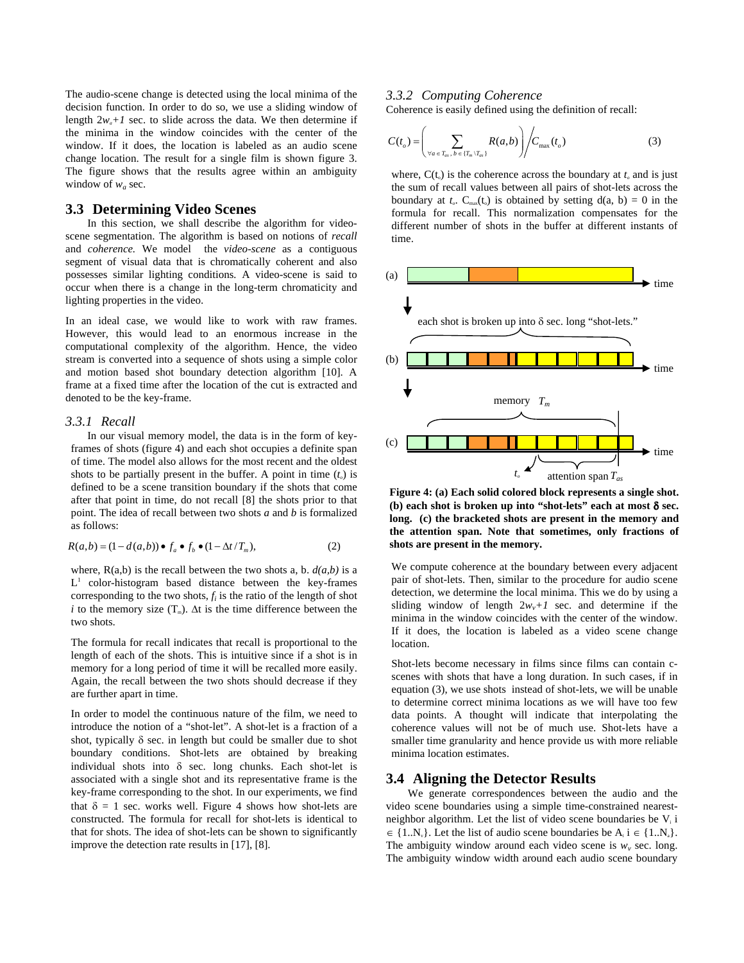The audio-scene change is detected using the local minima of the decision function. In order to do so, we use a sliding window of length  $2w_a+1$  sec. to slide across the data. We then determine if the minima in the window coincides with the center of the window. If it does, the location is labeled as an audio scene change location. The result for a single film is shown figure 3. The figure shows that the results agree within an ambiguity window of  $w_a$  sec.

### **3.3 Determining Video Scenes**

In this section, we shall describe the algorithm for videoscene segmentation. The algorithm is based on notions of *recall* and *coherence.* We model the *video-scene* as a contiguous segment of visual data that is chromatically coherent and also possesses similar lighting conditions*.* A video-scene is said to occur when there is a change in the long-term chromaticity and lighting properties in the video.

In an ideal case, we would like to work with raw frames. However, this would lead to an enormous increase in the computational complexity of the algorithm. Hence, the video stream is converted into a sequence of shots using a simple color and motion based shot boundary detection algorithm [10]. A frame at a fixed time after the location of the cut is extracted and denoted to be the key-frame.

### *3.3.1 Recall*

In our visual memory model, the data is in the form of keyframes of shots (figure 4) and each shot occupies a definite span of time. The model also allows for the most recent and the oldest shots to be partially present in the buffer. A point in time  $(t<sub>o</sub>)$  is defined to be a scene transition boundary if the shots that come after that point in time, do not recall [8] the shots prior to that point. The idea of recall between two shots *a* and *b* is formalized as follows:

$$
R(a,b) = (1 - d(a,b)) \bullet f_a \bullet f_b \bullet (1 - \Delta t / T_m), \tag{2}
$$

where,  $R(a,b)$  is the recall between the two shots a, b.  $d(a,b)$  is a  $L<sup>1</sup>$  color-histogram based distance between the key-frames corresponding to the two shots,  $f_i$  is the ratio of the length of shot *i* to the memory size  $(T_m)$ .  $\Delta t$  is the time difference between the two shots.

The formula for recall indicates that recall is proportional to the length of each of the shots. This is intuitive since if a shot is in memory for a long period of time it will be recalled more easily. Again, the recall between the two shots should decrease if they are further apart in time.

In order to model the continuous nature of the film, we need to introduce the notion of a "shot-let". A shot-let is a fraction of a shot, typically δ sec. in length but could be smaller due to shot boundary conditions. Shot-lets are obtained by breaking individual shots into  $\delta$  sec. long chunks. Each shot-let is associated with a single shot and its representative frame is the key-frame corresponding to the shot. In our experiments, we find that  $\delta = 1$  sec. works well. Figure 4 shows how shot-lets are constructed. The formula for recall for shot-lets is identical to that for shots. The idea of shot-lets can be shown to significantly improve the detection rate results in [17], [8].

#### *3.3.2 Computing Coherence*

Coherence is easily defined using the definition of recall:

$$
C(t_o) = \left(\sum_{\forall a \in T_{av}, b \in \{T_m \setminus T_{av}\}} R(a, b)\right) / C_{\max}(t_o)
$$
 (3)

where,  $C(t_0)$  is the coherence across the boundary at  $t_0$  and is just the sum of recall values between all pairs of shot-lets across the boundary at  $t_c$ . C<sub>max</sub>(t<sub>o</sub>) is obtained by setting  $d(a, b) = 0$  in the formula for recall. This normalization compensates for the different number of shots in the buffer at different instants of time.



**Figure 4: (a) Each solid colored block represents a single shot. (b) each shot is broken up into "shot-lets" each at most** δ **sec. long. (c) the bracketed shots are present in the memory and the attention span. Note that sometimes, only fractions of shots are present in the memory.** 

We compute coherence at the boundary between every adjacent pair of shot-lets. Then, similar to the procedure for audio scene detection, we determine the local minima. This we do by using a sliding window of length  $2w_v+1$  sec. and determine if the minima in the window coincides with the center of the window. If it does, the location is labeled as a video scene change location.

Shot-lets become necessary in films since films can contain cscenes with shots that have a long duration. In such cases, if in equation (3), we use shots instead of shot-lets, we will be unable to determine correct minima locations as we will have too few data points. A thought will indicate that interpolating the coherence values will not be of much use. Shot-lets have a smaller time granularity and hence provide us with more reliable minima location estimates.

### **3.4 Aligning the Detector Results**

We generate correspondences between the audio and the video scene boundaries using a simple time-constrained nearestneighbor algorithm. Let the list of video scene boundaries be  $V_i$  i  $\in \{1..N_{v}\}\.$  Let the list of audio scene boundaries be  $A_{i}$  i  $\in \{1..N_{a}\}\.$ The ambiguity window around each video scene is  $w<sub>v</sub>$  sec. long. The ambiguity window width around each audio scene boundary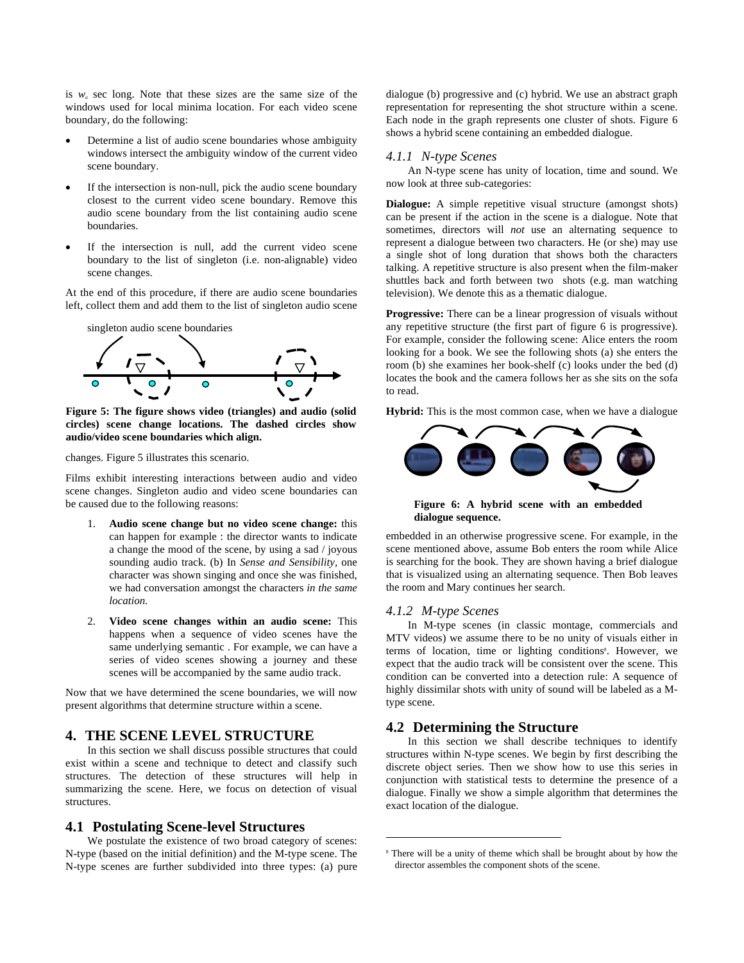is *wa* sec long. Note that these sizes are the same size of the windows used for local minima location. For each video scene boundary, do the following:

- Determine a list of audio scene boundaries whose ambiguity windows intersect the ambiguity window of the current video scene boundary.
- If the intersection is non-null, pick the audio scene boundary closest to the current video scene boundary. Remove this audio scene boundary from the list containing audio scene boundaries.
- If the intersection is null, add the current video scene boundary to the list of singleton (i.e. non-alignable) video scene changes.

At the end of this procedure, if there are audio scene boundaries left, collect them and add them to the list of singleton audio scene



**Figure 5: The figure shows video (triangles) and audio (solid circles) scene change locations. The dashed circles show audio/video scene boundaries which align.** 

changes. Figure 5 illustrates this scenario.

Films exhibit interesting interactions between audio and video scene changes. Singleton audio and video scene boundaries can be caused due to the following reasons:

- 1. **Audio scene change but no video scene change:** this can happen for example : the director wants to indicate a change the mood of the scene, by using a sad / joyous sounding audio track. (b) In *Sense and Sensibility,* one character was shown singing and once she was finished, we had conversation amongst the characters *in the same location.*
- 2. **Video scene changes within an audio scene:** This happens when a sequence of video scenes have the same underlying semantic . For example, we can have a series of video scenes showing a journey and these scenes will be accompanied by the same audio track.

Now that we have determined the scene boundaries, we will now present algorithms that determine structure within a scene.

# **4. THE SCENE LEVEL STRUCTURE**

In this section we shall discuss possible structures that could exist within a scene and technique to detect and classify such structures. The detection of these structures will help in summarizing the scene. Here, we focus on detection of visual structures.

#### **4.1 Postulating Scene-level Structures**

We postulate the existence of two broad category of scenes: N-type (based on the initial definition) and the M-type scene. The N-type scenes are further subdivided into three types: (a) pure dialogue (b) progressive and (c) hybrid. We use an abstract graph representation for representing the shot structure within a scene. Each node in the graph represents one cluster of shots. Figure 6 shows a hybrid scene containing an embedded dialogue.

#### *4.1.1 N-type Scenes*

An N-type scene has unity of location, time and sound. We now look at three sub-categories:

**Dialogue:** A simple repetitive visual structure (amongst shots) can be present if the action in the scene is a dialogue. Note that sometimes, directors will *not* use an alternating sequence to represent a dialogue between two characters. He (or she) may use a single shot of long duration that shows both the characters talking. A repetitive structure is also present when the film-maker shuttles back and forth between two shots (e.g. man watching television). We denote this as a thematic dialogue.

**Progressive:** There can be a linear progression of visuals without any repetitive structure (the first part of figure 6 is progressive). For example, consider the following scene: Alice enters the room looking for a book. We see the following shots (a) she enters the room (b) she examines her book-shelf (c) looks under the bed (d) locates the book and the camera follows her as she sits on the sofa to read.

**Hybrid:** This is the most common case, when we have a dialogue



**Figure 6: A hybrid scene with an embedded dialogue sequence.** 

embedded in an otherwise progressive scene. For example, in the scene mentioned above, assume Bob enters the room while Alice is searching for the book. They are shown having a brief dialogue that is visualized using an alternating sequence. Then Bob leaves the room and Mary continues her search.

#### *4.1.2 M-type Scenes*

 $\overline{a}$ 

In M-type scenes (in classic montage, commercials and MTV videos) we assume there to be no unity of visuals either in terms of location, time or lighting conditions<sup>8</sup>. However, we expect that the audio track will be consistent over the scene. This condition can be converted into a detection rule: A sequence of highly dissimilar shots with unity of sound will be labeled as a Mtype scene.

### **4.2 Determining the Structure**

In this section we shall describe techniques to identify structures within N-type scenes. We begin by first describing the discrete object series. Then we show how to use this series in conjunction with statistical tests to determine the presence of a dialogue. Finally we show a simple algorithm that determines the exact location of the dialogue.

<sup>8</sup> There will be a unity of theme which shall be brought about by how the director assembles the component shots of the scene.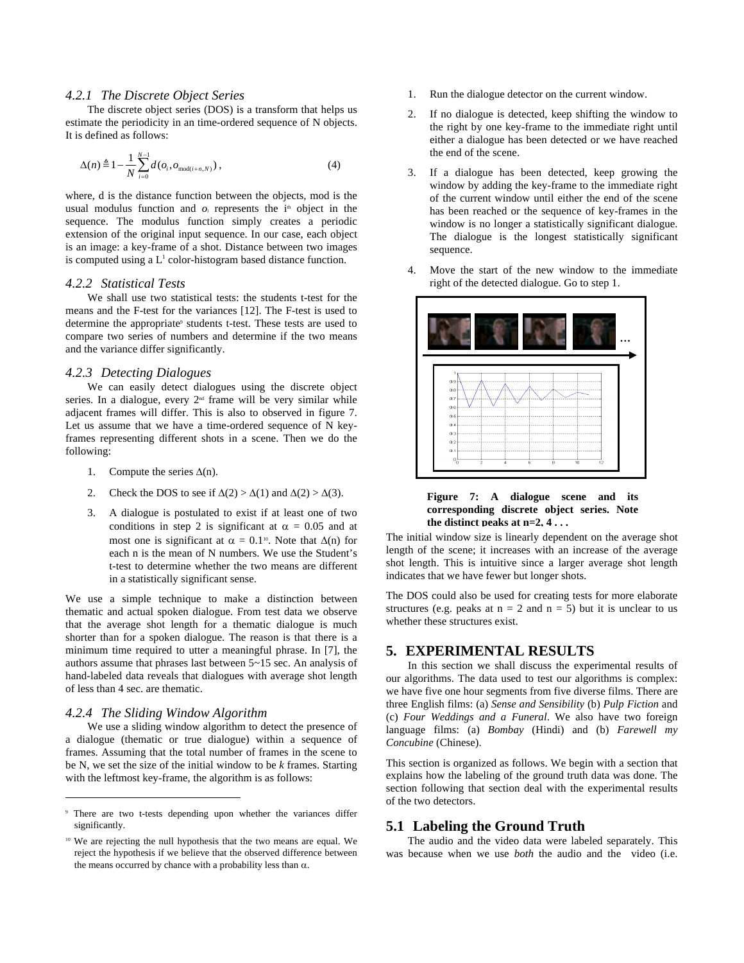### *4.2.1 The Discrete Object Series*

The discrete object series (DOS) is a transform that helps us estimate the periodicity in an time-ordered sequence of N objects. It is defined as follows:

$$
\Delta(n) \triangleq 1 - \frac{1}{N} \sum_{i=0}^{N-1} d(o_i, o_{\text{mod}(i+n,N)}),
$$
\n(4)

where, d is the distance function between the objects, mod is the usual modulus function and  $o_i$  represents the  $i<sup>th</sup>$  object in the sequence. The modulus function simply creates a periodic extension of the original input sequence. In our case, each object is an image: a key-frame of a shot. Distance between two images is computed using a  $L<sup>1</sup>$  color-histogram based distance function.

#### *4.2.2 Statistical Tests*

We shall use two statistical tests: the students t-test for the means and the F-test for the variances [12]. The F-test is used to determine the appropriate<sup>9</sup> students t-test. These tests are used to compare two series of numbers and determine if the two means and the variance differ significantly.

### *4.2.3 Detecting Dialogues*

We can easily detect dialogues using the discrete object series. In a dialogue, every  $2^{nd}$  frame will be very similar while adjacent frames will differ. This is also to observed in figure 7. Let us assume that we have a time-ordered sequence of N keyframes representing different shots in a scene. Then we do the following:

- 1. Compute the series  $\Delta(n)$ .
- 2. Check the DOS to see if  $\Delta(2) > \Delta(1)$  and  $\Delta(2) > \Delta(3)$ .
- 3. A dialogue is postulated to exist if at least one of two conditions in step 2 is significant at  $\alpha = 0.05$  and at most one is significant at  $\alpha = 0.1^{\text{10}}$ . Note that  $\Delta(n)$  for each n is the mean of N numbers. We use the Student's t-test to determine whether the two means are different in a statistically significant sense.

We use a simple technique to make a distinction between thematic and actual spoken dialogue. From test data we observe that the average shot length for a thematic dialogue is much shorter than for a spoken dialogue. The reason is that there is a minimum time required to utter a meaningful phrase. In [7], the authors assume that phrases last between 5~15 sec. An analysis of hand-labeled data reveals that dialogues with average shot length of less than 4 sec. are thematic.

#### *4.2.4 The Sliding Window Algorithm*

1

We use a sliding window algorithm to detect the presence of a dialogue (thematic or true dialogue) within a sequence of frames. Assuming that the total number of frames in the scene to be N, we set the size of the initial window to be *k* frames. Starting with the leftmost key-frame, the algorithm is as follows:

- 1. Run the dialogue detector on the current window.
- 2. If no dialogue is detected, keep shifting the window to the right by one key-frame to the immediate right until either a dialogue has been detected or we have reached the end of the scene.
- 3. If a dialogue has been detected, keep growing the window by adding the key-frame to the immediate right of the current window until either the end of the scene has been reached or the sequence of key-frames in the window is no longer a statistically significant dialogue. The dialogue is the longest statistically significant sequence.
- 4. Move the start of the new window to the immediate right of the detected dialogue. Go to step 1.



#### **Figure 7: A dialogue scene and its corresponding discrete object series. Note the distinct peaks at n=2, 4 . . .**

The initial window size is linearly dependent on the average shot length of the scene; it increases with an increase of the average shot length. This is intuitive since a larger average shot length indicates that we have fewer but longer shots.

The DOS could also be used for creating tests for more elaborate structures (e.g. peaks at  $n = 2$  and  $n = 5$ ) but it is unclear to us whether these structures exist.

# **5. EXPERIMENTAL RESULTS**

In this section we shall discuss the experimental results of our algorithms. The data used to test our algorithms is complex: we have five one hour segments from five diverse films. There are three English films: (a) *Sense and Sensibility* (b) *Pulp Fiction* and (c) *Four Weddings and a Funeral*. We also have two foreign language films: (a) *Bombay* (Hindi) and (b) *Farewell my Concubine* (Chinese).

This section is organized as follows. We begin with a section that explains how the labeling of the ground truth data was done. The section following that section deal with the experimental results of the two detectors.

### **5.1 Labeling the Ground Truth**

The audio and the video data were labeled separately. This was because when we use *both* the audio and the video (i.e.

<sup>9</sup> There are two t-tests depending upon whether the variances differ significantly.

<sup>10</sup> We are rejecting the null hypothesis that the two means are equal. We reject the hypothesis if we believe that the observed difference between the means occurred by chance with a probability less than  $\alpha$ .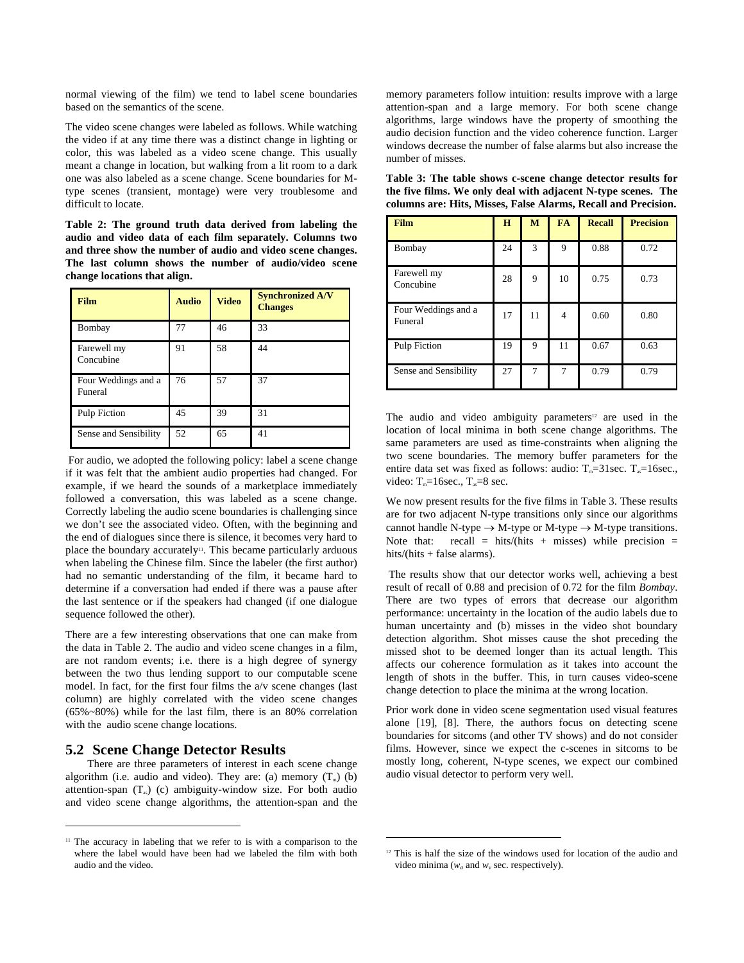normal viewing of the film) we tend to label scene boundaries based on the semantics of the scene.

The video scene changes were labeled as follows. While watching the video if at any time there was a distinct change in lighting or color, this was labeled as a video scene change. This usually meant a change in location, but walking from a lit room to a dark one was also labeled as a scene change. Scene boundaries for Mtype scenes (transient, montage) were very troublesome and difficult to locate.

**Table 2: The ground truth data derived from labeling the audio and video data of each film separately. Columns two and three show the number of audio and video scene changes. The last column shows the number of audio/video scene change locations that align.** 

| <b>Film</b>                    | <b>Audio</b> | <b>Video</b> | <b>Synchronized A/V</b><br><b>Changes</b> |
|--------------------------------|--------------|--------------|-------------------------------------------|
| Bombay                         | 77           | 46           | 33                                        |
| Farewell my<br>Concubine       | 91           | 58           | 44                                        |
| Four Weddings and a<br>Funeral | 76           | 57           | 37                                        |
| Pulp Fiction                   | 45           | 39           | 31                                        |
| Sense and Sensibility          | 52           | 65           | 41                                        |

 For audio, we adopted the following policy: label a scene change if it was felt that the ambient audio properties had changed. For example, if we heard the sounds of a marketplace immediately followed a conversation, this was labeled as a scene change. Correctly labeling the audio scene boundaries is challenging since we don't see the associated video. Often, with the beginning and the end of dialogues since there is silence, it becomes very hard to place the boundary accurately<sup>11</sup>. This became particularly arduous when labeling the Chinese film. Since the labeler (the first author) had no semantic understanding of the film, it became hard to determine if a conversation had ended if there was a pause after the last sentence or if the speakers had changed (if one dialogue sequence followed the other).

There are a few interesting observations that one can make from the data in Table 2. The audio and video scene changes in a film, are not random events; i.e. there is a high degree of synergy between the two thus lending support to our computable scene model. In fact, for the first four films the a/v scene changes (last column) are highly correlated with the video scene changes (65%~80%) while for the last film, there is an 80% correlation with the audio scene change locations.

## **5.2 Scene Change Detector Results**

1

There are three parameters of interest in each scene change algorithm (i.e. audio and video). They are: (a) memory  $(T_m)$  (b) attention-span  $(T_{\text{ss}})$  (c) ambiguity-window size. For both audio and video scene change algorithms, the attention-span and the

memory parameters follow intuition: results improve with a large attention-span and a large memory. For both scene change algorithms, large windows have the property of smoothing the audio decision function and the video coherence function. Larger windows decrease the number of false alarms but also increase the number of misses.

| <b>Film</b>                    | H  | M  | <b>FA</b>      | <b>Recall</b> | <b>Precision</b> |
|--------------------------------|----|----|----------------|---------------|------------------|
| Bombay                         | 24 | 3  | 9              | 0.88          | 0.72             |
| Farewell my<br>Concubine       | 28 | 9  | 10             | 0.75          | 0.73             |
| Four Weddings and a<br>Funeral | 17 | 11 | $\overline{4}$ | 0.60          | 0.80             |
| Pulp Fiction                   | 19 | 9  | 11             | 0.67          | 0.63             |
| Sense and Sensibility          | 27 | 7  | 7              | 0.79          | 0.79             |

**Table 3: The table shows c-scene change detector results for the five films. We only deal with adjacent N-type scenes. The columns are: Hits, Misses, False Alarms, Recall and Precision.** 

The audio and video ambiguity parameters<sup>12</sup> are used in the location of local minima in both scene change algorithms. The same parameters are used as time-constraints when aligning the two scene boundaries. The memory buffer parameters for the entire data set was fixed as follows: audio:  $T_m=31$ sec.  $T_s=16$ sec., video:  $T_m=16$ sec.,  $T_s=8$  sec.

We now present results for the five films in Table 3. These results are for two adjacent N-type transitions only since our algorithms cannot handle N-type  $\rightarrow$  M-type or M-type  $\rightarrow$  M-type transitions. Note that: recall = hits/(hits + misses) while precision = hits/(hits + false alarms).

 The results show that our detector works well, achieving a best result of recall of 0.88 and precision of 0.72 for the film *Bombay*. There are two types of errors that decrease our algorithm performance: uncertainty in the location of the audio labels due to human uncertainty and (b) misses in the video shot boundary detection algorithm. Shot misses cause the shot preceding the missed shot to be deemed longer than its actual length. This affects our coherence formulation as it takes into account the length of shots in the buffer. This, in turn causes video-scene change detection to place the minima at the wrong location.

Prior work done in video scene segmentation used visual features alone [19], [8]. There, the authors focus on detecting scene boundaries for sitcoms (and other TV shows) and do not consider films. However, since we expect the c-scenes in sitcoms to be mostly long, coherent, N-type scenes, we expect our combined audio visual detector to perform very well.

 $\overline{a}$ 

<sup>&</sup>lt;sup>11</sup> The accuracy in labeling that we refer to is with a comparison to the where the label would have been had we labeled the film with both audio and the video.

<sup>&</sup>lt;sup>12</sup> This is half the size of the windows used for location of the audio and video minima ( $w_a$  and  $w_v$  sec. respectively).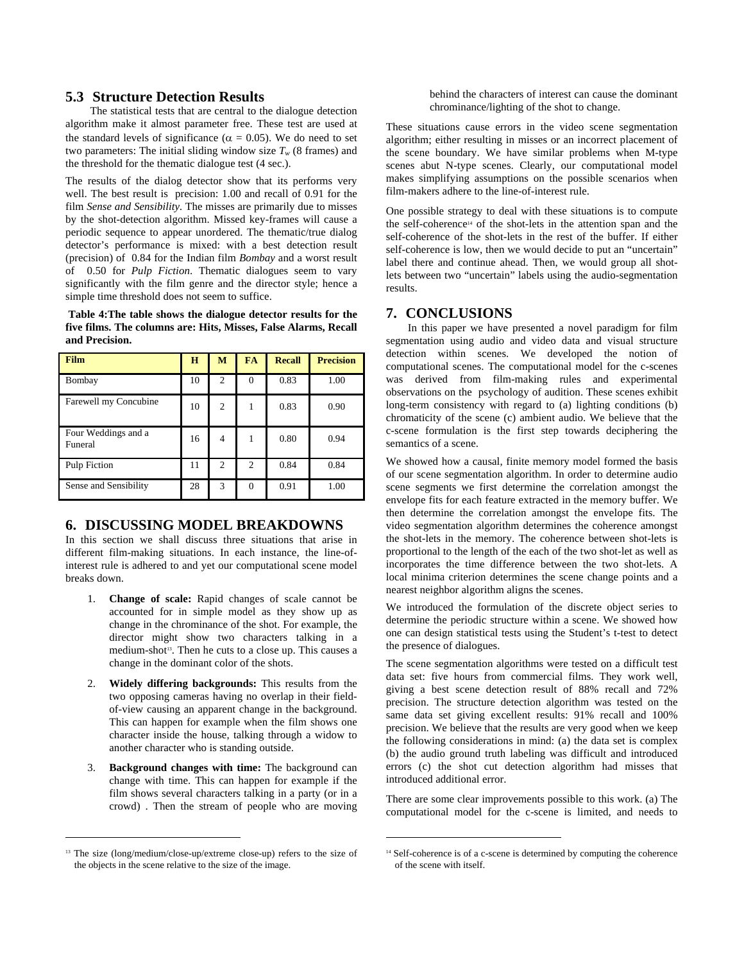### **5.3 Structure Detection Results**

 The statistical tests that are central to the dialogue detection algorithm make it almost parameter free. These test are used at the standard levels of significance ( $\alpha = 0.05$ ). We do need to set two parameters: The initial sliding window size  $T_w$  (8 frames) and the threshold for the thematic dialogue test (4 sec.).

The results of the dialog detector show that its performs very well. The best result is precision: 1.00 and recall of 0.91 for the film *Sense and Sensibility.* The misses are primarily due to misses by the shot-detection algorithm. Missed key-frames will cause a periodic sequence to appear unordered. The thematic/true dialog detector's performance is mixed: with a best detection result (precision) of 0.84 for the Indian film *Bombay* and a worst result of 0.50 for *Pulp Fiction*. Thematic dialogues seem to vary significantly with the film genre and the director style; hence a simple time threshold does not seem to suffice.

 **Table 4:The table shows the dialogue detector results for the five films. The columns are: Hits, Misses, False Alarms, Recall and Precision.** 

| <b>Film</b>                    | H  | M              | <b>FA</b> | <b>Recall</b> | <b>Precision</b> |
|--------------------------------|----|----------------|-----------|---------------|------------------|
| Bombay                         | 10 | $\overline{2}$ | $\theta$  | 0.83          | 1.00             |
| Farewell my Concubine          | 10 | $\overline{2}$ | 1         | 0.83          | 0.90             |
| Four Weddings and a<br>Funeral | 16 | $\overline{4}$ | 1         | 0.80          | 0.94             |
| Pulp Fiction                   | 11 | $\overline{c}$ | 2         | 0.84          | 0.84             |
| Sense and Sensibility          | 28 | 3              | $\theta$  | 0.91          | 1.00             |

## **6. DISCUSSING MODEL BREAKDOWNS**

In this section we shall discuss three situations that arise in different film-making situations. In each instance, the line-ofinterest rule is adhered to and yet our computational scene model breaks down.

- 1. **Change of scale:** Rapid changes of scale cannot be accounted for in simple model as they show up as change in the chrominance of the shot. For example, the director might show two characters talking in a medium-shot<sup>13</sup>. Then he cuts to a close up. This causes a change in the dominant color of the shots.
- 2. **Widely differing backgrounds:** This results from the two opposing cameras having no overlap in their fieldof-view causing an apparent change in the background. This can happen for example when the film shows one character inside the house, talking through a widow to another character who is standing outside.
- 3. **Background changes with time:** The background can change with time. This can happen for example if the film shows several characters talking in a party (or in a crowd) . Then the stream of people who are moving

<u>.</u>

behind the characters of interest can cause the dominant chrominance/lighting of the shot to change.

These situations cause errors in the video scene segmentation algorithm; either resulting in misses or an incorrect placement of the scene boundary. We have similar problems when M-type scenes abut N-type scenes. Clearly, our computational model makes simplifying assumptions on the possible scenarios when film-makers adhere to the line-of-interest rule.

One possible strategy to deal with these situations is to compute the self-coherence14 of the shot-lets in the attention span and the self-coherence of the shot-lets in the rest of the buffer. If either self-coherence is low, then we would decide to put an "uncertain" label there and continue ahead. Then, we would group all shotlets between two "uncertain" labels using the audio-segmentation results.

# **7. CONCLUSIONS**

In this paper we have presented a novel paradigm for film segmentation using audio and video data and visual structure detection within scenes. We developed the notion of computational scenes. The computational model for the c-scenes was derived from film-making rules and experimental observations on the psychology of audition. These scenes exhibit long-term consistency with regard to (a) lighting conditions (b) chromaticity of the scene (c) ambient audio. We believe that the c-scene formulation is the first step towards deciphering the semantics of a scene.

We showed how a causal, finite memory model formed the basis of our scene segmentation algorithm. In order to determine audio scene segments we first determine the correlation amongst the envelope fits for each feature extracted in the memory buffer. We then determine the correlation amongst the envelope fits. The video segmentation algorithm determines the coherence amongst the shot-lets in the memory. The coherence between shot-lets is proportional to the length of the each of the two shot-let as well as incorporates the time difference between the two shot-lets. A local minima criterion determines the scene change points and a nearest neighbor algorithm aligns the scenes.

We introduced the formulation of the discrete object series to determine the periodic structure within a scene. We showed how one can design statistical tests using the Student's t-test to detect the presence of dialogues.

The scene segmentation algorithms were tested on a difficult test data set: five hours from commercial films. They work well, giving a best scene detection result of 88% recall and 72% precision. The structure detection algorithm was tested on the same data set giving excellent results: 91% recall and 100% precision. We believe that the results are very good when we keep the following considerations in mind: (a) the data set is complex (b) the audio ground truth labeling was difficult and introduced errors (c) the shot cut detection algorithm had misses that introduced additional error.

There are some clear improvements possible to this work. (a) The computational model for the c-scene is limited, and needs to

l

<sup>&</sup>lt;sup>13</sup> The size (long/medium/close-up/extreme close-up) refers to the size of the objects in the scene relative to the size of the image.

<sup>&</sup>lt;sup>14</sup> Self-coherence is of a c-scene is determined by computing the coherence of the scene with itself.